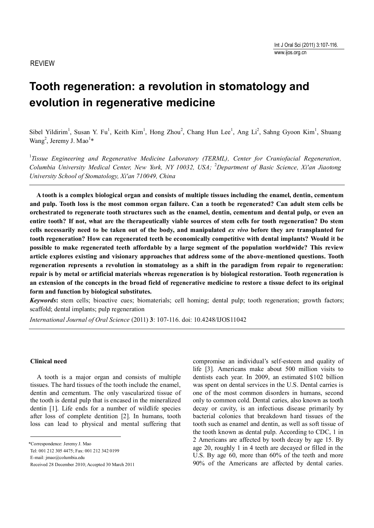# REVIEW

# **Tooth regeneration: a revolution in stomatology and evolution in regenerative medicine**

Sibel Yildirim<sup>1</sup>, Susan Y. Fu<sup>1</sup>, Keith Kim<sup>1</sup>, Hong Zhou<sup>2</sup>, Chang Hun Lee<sup>1</sup>, Ang Li<sup>2</sup>, Sahng Gyoon Kim<sup>1</sup>, Shuang Wang<sup>2</sup>, Jeremy J. Mao<sup>1\*</sup>

<sup>1</sup>Tissue Engineering and Regenerative Medicine Laboratory (TERML), Center for Craniofacial Regeneration, *Columbia University Medical Center, New York, NY 10032, USA;*  <sup>2</sup>*Department of Basic Science, Xi'an Jiaotong University School of Stomatology, Xi'an 710049, China*

**A tooth is a complex biological organ and consists of multiple tissues including the enamel, dentin, cementum and pulp. Tooth loss is the most common organ failure. Can a tooth be regenerated? Can adult stem cells be orchestrated to regenerate tooth structures such as the enamel, dentin, cementum and dental pulp, or even an entire tooth? If not, what are the therapeutically viable sources of stem cells for tooth regeneration? Do stem cells necessarily need to be taken out of the body, and manipulated** *ex vivo* **before they are transplanted for tooth regeneration? How can regenerated teeth be economically competitive with dental implants? Would it be possible to make regenerated teeth affordable by a large segment of the population worldwide? This review article explores existing and visionary approaches that address some of the above-mentioned questions. Tooth regeneration represents a revolution in stomatology as a shift in the paradigm from repair to regeneration: repair is by metal or artificial materials whereas regeneration is by biological restoration. Tooth regeneration is an extension of the concepts in the broad field of regenerative medicine to restore a tissue defect to its original form and function by biological substitutes.**

*Keywords***:** stem cells; bioactive cues; biomaterials; cell homing; dental pulp; tooth regeneration; growth factors; scaffold; dental implants; pulp regeneration

*International Journal of Oral Science* (2011) **3**: 107-116. doi: 10.4248/IJOS11042

## **Clinical need**

 A tooth is a major organ and consists of multiple tissues. The hard tissues of the tooth include the enamel, dentin and cementum. The only vascularized tissue of the tooth is dental pulp that is encased in the mineralized dentin [1]. Life ends for a number of wildlife species after loss of complete dentition [2]. In humans, tooth loss can lead to physical and mental suffering that

\*Correspondence: Jeremy J. Mao

Tel: 001 212 305 4475; Fax: 001 212 342 0199

E-mail: jmao@columbia.edu

Received 28 December 2010; Accepted 30 March 2011

compromise an individual's self-esteem and quality of life [3]. Americans make about 500 million visits to dentists each year. In 2009, an estimated \$102 billion was spent on dental services in the U.S. Dental carries is one of the most common disorders in humans, second only to common cold. Dental caries, also known as tooth decay or cavity, is an infectious disease primarily by bacterial colonies that breakdown hard tissues of the tooth such as enamel and dentin, as well as soft tissue of the tooth known as dental pulp. According to CDC, 1 in 2 Americans are affected by tooth decay by age 15. By age 20, roughly 1 in 4 teeth are decayed or filled in the U.S. By age 60, more than 60% of the teeth and more 90% of the Americans are affected by dental caries.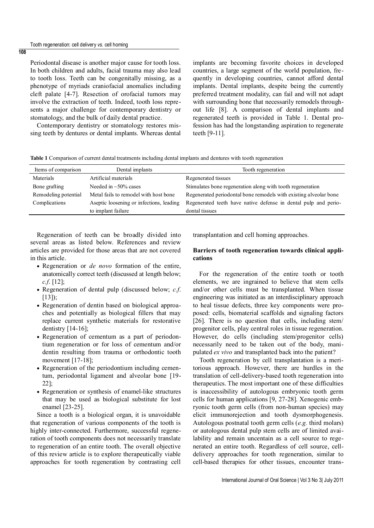Periodontal disease is another major cause for tooth loss. In both children and adults, facial trauma may also lead to tooth loss. Teeth can be congenitally missing, as a phenotype of myriads craniofacial anomalies including cleft palate [4-7]. Resection of orofacial tumors may involve the extraction of teeth. Indeed, tooth loss represents a major challenge for contemporary dentistry or stomatology, and the bulk of daily dental practice.

 Contemporary dentistry or stomatology restores missing teeth by dentures or dental implants. Whereas dental

implants are becoming favorite choices in developed countries, a large segment of the world population, frequently in developing countries, cannot afford dental implants. Dental implants, despite being the currently preferred treatment modality, can fail and will not adapt with surrounding bone that necessarily remodels throughout life [8]. A comparison of dental implants and regenerated teeth is provided in Table 1. Dental profession has had the longstanding aspiration to regenerate teeth [9-11].

**Table 1** Comparison of current dental treatments including dental implants and dentures with tooth regeneration

| Items of comparison  | Dental implants                          | Tooth regeneration                                                |  |  |
|----------------------|------------------------------------------|-------------------------------------------------------------------|--|--|
| Materials            | Artificial materials                     | Regenerated tissues                                               |  |  |
| Bone grafting        | Needed in $\sim$ 50% cases               | Stimulates bone regeneration along with tooth regeneration        |  |  |
| Remodeling potential | Metal fails to remodel with host bone    | Regenerated periodontal bone remodels with existing alveolar bone |  |  |
| Complications        | Aseptic loosening or infections, leading | Regenerated teeth have native defense in dental pulp and perio-   |  |  |
|                      | to implant failure                       | dontal tissues                                                    |  |  |

 Regeneration of teeth can be broadly divided into several areas as listed below. References and review articles are provided for those areas that are not covered in this article.

- Regeneration or *de novo* formation of the entire, anatomically correct teeth (discussed at length below; *c.f*. [12];
- Regeneration of dental pulp (discussed below; *c.f*. [13]);
- Regeneration of dentin based on biological approaches and potentially as biological fillers that may replace current synthetic materials for restorative dentistry  $[14-16]$ ;
- Regeneration of cementum as a part of periodontium regeneration or for loss of cementum and/or dentin resulting from trauma or orthodontic tooth movement [17-18];
- Regeneration of the periodontium including cementum, periodontal ligament and alveolar bone [19- 22];
- Regeneration or synthesis of enamel-like structures that may be used as biological substitute for lost enamel [23-25].

Since a tooth is a biological organ, it is unavoidable that regeneration of various components of the tooth is highly inter-connected. Furthermore, successful regeneration of tooth components does not necessarily translate to regeneration of an entire tooth. The overall objective of this review article is to explore therapeutically viable approaches for tooth regeneration by contrasting cell

transplantation and cell homing approaches.

## **Barriers of tooth regeneration towards clinical applications**

 For the regeneration of the entire tooth or tooth elements, we are ingrained to believe that stem cells and/or other cells must be transplanted. When tissue engineering was initiated as an interdisciplinary approach to heal tissue defects, three key components were proposed: cells, biomaterial scaffolds and signaling factors [26]. There is no question that cells, including stem/ progenitor cells, play central roles in tissue regeneration. However, do cells (including stem/progenitor cells) necessarily need to be taken out of the body, manipulated *ex vivo* and transplanted back into the patient?

Tooth regeneration by cell transplantation is a meritorious approach. However, there are hurdles in the translation of cell-delivery-based tooth regeneration into therapeutics. The most important one of these difficulties is inaccessibility of autologous embryonic tooth germ cells for human applications [9, 27-28]. Xenogenic embryonic tooth germ cells (from non-human species) may elicit immunorejection and tooth dysmorphogenesis. Autologous postnatal tooth germ cells (*e.g.* third molars) or autologous dental pulp stem cells are of limited availability and remain uncentain as a cell source to regenerated an entire tooth. Regardless of cell source, celldelivery approaches for tooth regeneration, similar to cell-based therapies for other tissues, encounter trans-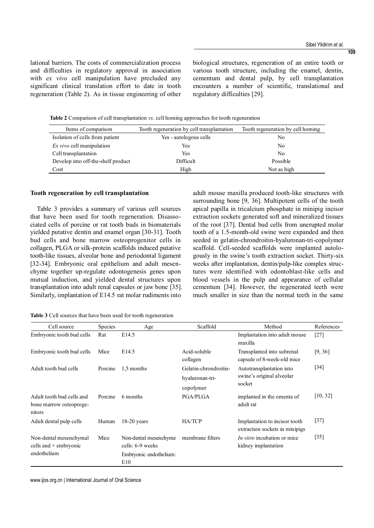lational barriers. The costs of commercialization process and difficulties in regulatory approval in association with *ex vivo* cell manipulation have precluded any significant clinical translation effort to date in tooth regeneration (Table 2). As in tissue engineering of other

biological structures, regeneration of an entire tooth or various tooth structure, including the enamel, dentin, cementum and dental pulp, by cell transplantation encounters a number of scientific, translational and regulatory difficulties [29].

**Table 2** Comparison of cell transplantation *vs*. cell homing approaches for tooth regeneration

| Items of comparison                | Tooth regeneration by cell transplantation | Tooth regeneration by cell homing |  |
|------------------------------------|--------------------------------------------|-----------------------------------|--|
| Isolation of cells from patient    | Yes - autologous cells                     | No                                |  |
| <i>Ex vivo</i> cell manipulation   | Yes                                        | No                                |  |
| Cell transplantation               | Yes                                        | No                                |  |
| Develop into off-the-shelf product | Difficult                                  | Possible                          |  |
| Cost                               | High                                       | Not as high                       |  |

#### **Tooth regeneration by cell transplantation**

Table 3 provides a summary of various cell sources that have been used for tooth regeneration. Disassociated cells of porcine or rat tooth buds in biomaterials yielded putative dentin and enamel organ [30-31]. Tooth bud cells and bone marrow osteoprogenitor cells in collagen, PLGA or silk-protein scaffolds induced putative tooth-like tissues, alveolar bone and periodontal ligament [32-34]. Embryonic oral epithelium and adult mesenchyme together up-regulate odontogenesis genes upon mutual induction, and yielded dental structures upon transplantation into adult renal capsules or jaw bone [35]. Similarly, implantation of E14.5 rat molar rudiments into

adult mouse maxilla produced tooth-like structures with surrounding bone [9, 36]. Multipotent cells of the tooth apical papilla in tricalcium phosphate in minipig incisor extraction sockets generated soft and mineralized tissues of the root [37]. Dental bud cells from unerupted molar tooth of a 1.5-month-old swine were expanded and then seeded in gelatin-chrondroitin-hyaluronan-tri-copolymer scaffold. Cell-seeded scaffolds were implanted autologously in the swine's tooth extraction socket. Thirty-six weeks after implantation, dentin/pulp-like complex structures were identified with odontoblast-like cells and blood vessels in the pulp and appearance of cellular cementum [34]. However, the regenerated teeth were much smaller in size than the normal teeth in the same

**Table 3** Cell sources that have been used for tooth regeneration

| Cell source                                                    | <b>Species</b> | Age                                       | Scaffold                     | Method                                                          | References        |
|----------------------------------------------------------------|----------------|-------------------------------------------|------------------------------|-----------------------------------------------------------------|-------------------|
| Embryonic tooth bud cells                                      | Rat            | E14.5                                     |                              | Implantation into adult mouse<br>maxilla                        | $[27]$            |
| Embryonic tooth bud cells                                      | Mice           | E <sub>14.5</sub>                         | Acid-soluble<br>collagen     | Transplanted into subrenal<br>capsule of 8-week-old mice        | [9, 36]           |
| Adult tooth bud cells                                          | Porcine        | 1,5 months                                | Gelatin-chrondroitin-        | Autotransplantation into<br>swine's original alveolar<br>socket | [34]              |
|                                                                |                |                                           | hyaluronan-tri-<br>copolymer |                                                                 |                   |
| Adult tooth bud cells and<br>bone marrow osteoproge-<br>nitors | Porcine        | 6 months                                  | <b>PGA/PLGA</b>              | implanted in the omenta of<br>adult rat                         | [10, 32]          |
| Adult dental pulp cells                                        | Human          | $18-20$ years                             | <b>HA/TCP</b>                | Implantation to incisor tooth<br>extraction sockets in minipigs | $[37]$            |
| Non-dental mesenchymal<br>cells and + embryonic                | Mice           | Non-dental mesenchyme<br>cells: 6-9 weeks | membrane filters             | <i>In vitro</i> incubation or mice<br>kidney implantation       | $\left[35\right]$ |
| endothelium                                                    |                | Embryonic endothelium:<br>E10             |                              |                                                                 |                   |

www.ijos.org.cn | International Journal of Oral Science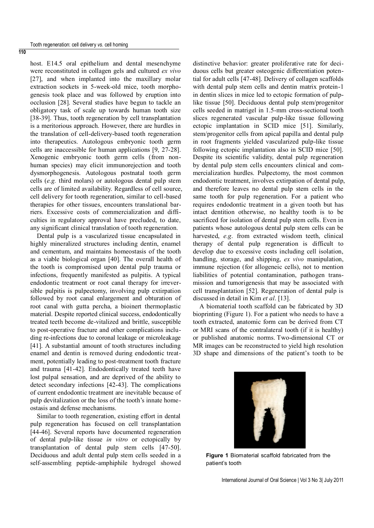host. E14.5 oral epithelium and dental mesenchyme were reconstituted in collagen gels and cultured *ex vivo* [27], and when implanted into the maxillary molar extraction sockets in 5-week-old mice, tooth morphogenesis took place and was followed by eruption into occlusion [28]. Several studies have begun to tackle an obligatory task of scale up towards human tooth size [38-39]. Thus, tooth regeneration by cell transplantation is a meritorious approach. However, there are hurdles in the translation of cell-delivery-based tooth regeneration into therapeutics. Autologous embryonic tooth germ cells are inaccessible for human applications [9, 27-28]. Xenogenic embryonic tooth germ cells (from nonhuman species) may elicit immunorejection and tooth dysmorphogenesis. Autologous postnatal tooth germ cells (*e.g.* third molars) or autologous dental pulp stem cells are of limited availability. Regardless of cell source, cell delivery for tooth regeneration, similar to cell-based therapies for other tissues, encounters translational barriers. Excessive costs of commercialization and difficulties in regulatory approval have precluded, to date, any significant clinical translation of tooth regeneration.

Dental pulp is a vascularized tissue encapsulated in highly mineralized structures including dentin, enamel and cementum, and maintains homeostasis of the tooth as a viable biological organ [40]. The overall health of the tooth is compromised upon dental pulp trauma or infections, frequently manifested as pulpitis. A typical endodontic treatment or root canal therapy for irreversible pulpitis is pulpectomy, involving pulp extirpation followed by root canal enlargement and obturation of root canal with gutta percha, a bioinert thermoplastic material. Despite reported clinical success, endodontically treated teeth become de-vitalized and brittle, susceptible to post-operative fracture and other complications including re-infections due to coronal leakage or microleakage [41]. A substantial amount of tooth structures including enamel and dentin is removed during endodontic treatment, potentially leading to post-treatment tooth fracture and trauma [41-42]. Endodontically treated teeth have lost pulpal sensation, and are deprived of the ability to detect secondary infections [42-43]. The complications of current endodontic treatment are inevitable because of pulp devitalization or the loss of the tooth's innate homeostasis and defense mechanisms.

Similar to tooth regeneration, existing effort in dental pulp regeneration has focused on cell transplantation [44-46]. Several reports have documented regeneration of dental pulp-like tissue *in vitro* or ectopically by transplantation of dental pulp stem cells [47-50]. Deciduous and adult dental pulp stem cells seeded in a self-assembling peptide-amphiphile hydrogel showed

distinctive behavior: greater proliferative rate for deciduous cells but greater osteogenic differentiation potential for adult cells [47-48]. Delivery of collagen scaffolds with dental pulp stem cells and dentin matrix protein-1 in dentin slices in mice led to ectopic formation of pulplike tissue [50]. Deciduous dental pulp stem/progenitor cells seeded in matrigel in 1.5-mm cross-sectional tooth slices regenerated vascular pulp-like tissue following ectopic implantation in SCID mice [51]. Similarly, stem/progenitor cells from apical papilla and dental pulp in root fragments yielded vascularized pulp-like tissue following ectopic implantation also in SCID mice [50]. Despite its scientific validity, dental pulp regeneration by dental pulp stem cells encounters clinical and commercialization hurdles. Pulpectomy, the most common endodontic treatment, involves extirpation of dental pulp, and therefore leaves no dental pulp stem cells in the same tooth for pulp regeneration. For a patient who requires endodontic treatment in a given tooth but has intact dentition otherwise, no healthy tooth is to be sacrificed for isolation of dental pulp stem cells. Even in patients whose autologous dental pulp stem cells can be harvested, *e.g*. from extracted wisdom teeth, clinical therapy of dental pulp regeneration is difficult to develop due to excessive costs including cell isolation, handling, storage, and shipping, *ex vivo* manipulation, immune rejection (for allogeneic cells), not to mention liabilities of potential contamination, pathogen transmission and tumorigenesis that may be associated with cell transplantation [52]. Regeneration of dental pulp is discussed in detail in Kim *et al*. [13].

A biomaterial tooth scaffold can be fabricated by 3D bioprinting (Figure 1). For a patient who needs to have a tooth extracted, anatomic form can be derived from CT or MRI scans of the contralateral tooth (if it is healthy) or published anatomic norms. Two-dimensional CT or MR images can be reconstructed to yield high resolution 3D shape and dimensions of the patient's tooth to be



**Figure 1** Biomaterial scaffold fabricated from the patient's tooth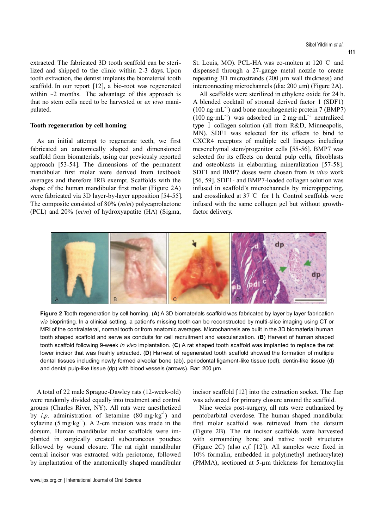extracted. The fabricated 3D tooth scaffold can be sterilized and shipped to the clinic within 2-3 days. Upon tooth extraction, the dentist implants the biomaterial tooth scaffold. In our report [12], a bio-root was regenerated within  $\sim$ 2 months. The advantage of this approach is that no stem cells need to be harvested or *ex vivo* manipulated.

#### **Tooth regeneration by cell homing**

As an initial attempt to regenerate teeth, we first fabricated an anatomically shaped and dimensioned scaffold from biomaterials, using our previously reported approach [53-54]. The dimensions of the permanent mandibular first molar were derived from textbook averages and therefore IRB exempt. Scaffolds with the shape of the human mandibular first molar (Figure 2A) were fabricated via 3D layer-by-layer apposition [54-55]. The composite consisted of 80% (*m*/*m*) polycaprolactone (PCL) and 20% (*m*/*m*) of hydroxyapatite (HA) (Sigma,

St. Louis, MO). PCL-HA was co-molten at 120 ℃ and dispensed through a 27-gauge metal nozzle to create repeating 3D microstrands (200 µm wall thickness) and interconnecting microchannels (dia: 200 µm) (Figure 2A).

All scaffolds were sterilized in ethylene oxide for 24 h. A blended cocktail of stromal derived factor 1 (SDF1)  $(100 \text{ ng} \cdot \text{mL}^{-1})$  and bone morphogenetic protein 7 (BMP7)  $(100 \text{ ng} \cdot \text{mL}^{-1})$  was adsorbed in 2 mg $\cdot \text{mL}^{-1}$  neutralized type Ⅰ collagen solution (all from R&D, Minneapolis, MN). SDF1 was selected for its effects to bind to CXCR4 receptors of multiple cell lineages including mesenchymal stem/progenitor cells [55-56]. BMP7 was selected for its effects on dental pulp cells, fibroblasts and osteoblasts in elaborating mineralization [57-58]. SDF1 and BMP7 doses were chosen from *in vivo* work [56, 59]. SDF1- and BMP7-loaded collagen solution was infused in scaffold's microchannels by micropippeting, and crosslinked at 37 ℃ for 1 h. Control scaffolds were infused with the same collagen gel but without growthfactor delivery.



**Figure 2** Tooth regeneration by cell homing. (**A**) A 3D biomaterials scaffold was fabricated by layer by layer fabrication *via* bioprinting. In a clinical setting, a patient's missing tooth can be reconstructed by multi-slice imaging using CT or MRI of the contralateral, normal tooth or from anatomic averages. Microchannels are built in the 3D biomaterial human tooth shaped scaffold and serve as conduits for cell recruitment and vascularization. (**B**) Harvest of human shaped tooth scaffold following 9-week *in vivo* implantation. (**C**) A rat shaped tooth scaffold was implanted to replace the rat lower incisor that was freshly extracted. (**D**) Harvest of regenerated tooth scaffold showed the formation of multiple dental tissues including newly formed alveolar bone (ab), periodontal ligament-like tissue (pdl), dentin-like tissue (d) and dental pulp-like tissue (dp) with blood vessels (arrows). Bar: 200 µm.

A total of 22 male Sprague-Dawley rats (12-week-old) were randomly divided equally into treatment and control groups (Charles River, NY). All rats were anesthetized by  $i.p.$  administration of ketamine  $(80 \text{ mg} \cdot \text{kg}^{-1})$  and xylazine  $(5 \text{ mg} \cdot \text{kg}^{-1})$ . A 2-cm incision was made in the dorsum. Human mandibular molar scaffolds were implanted in surgically created subcutaneous pouches followed by wound closure. The rat right mandibular central incisor was extracted with periotome, followed by implantation of the anatomically shaped mandibular

incisor scaffold [12] into the extraction socket. The flap was advanced for primary closure around the scaffold.

Nine weeks post-surgery, all rats were euthanized by pentobarbital overdose. The human shaped mandibular first molar scaffold was retrieved from the dorsum (Figure 2B). The rat incisor scaffolds were harvested with surrounding bone and native tooth structures (Figure 2C) (also *c.f.* [12]). All samples were fixed in 10% formalin, embedded in poly(methyl methacrylate) (PMMA), sectioned at 5-µm thickness for hematoxylin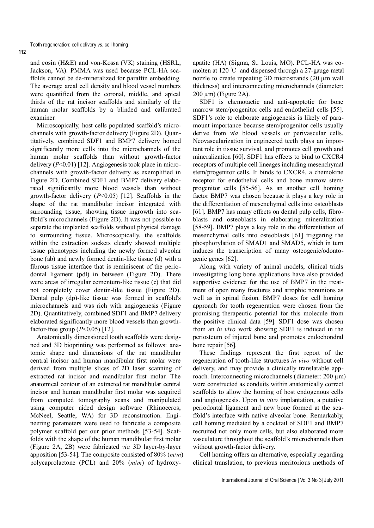and eosin (H&E) and von-Kossa (VK) staining (HSRL, Jackson, VA). PMMA was used because PCL-HA scaffolds cannot be de-mineralized for paraffin embedding. The average areal cell density and blood vessel numbers were quantified from the coronal, middle, and apical thirds of the rat incisor scaffolds and similarly of the human molar scaffolds by a blinded and calibrated examiner.

Microscopically, host cells populated scaffold's microchannels with growth-factor delivery (Figure 2D). Quantitatively, combined SDF1 and BMP7 delivery homed significantly more cells into the microchannels of the human molar scaffolds than without growth-factor delivery (*P*<0.01) [12]. Angiogenesis took place in microchannels with growth-factor delivery as exemplified in Figure 2D. Combined SDF1 and BMP7 delivery elaborated significantly more blood vessels than without growth-factor delivery (*P*<0.05) [12]. Scaffolds in the shape of the rat mandibular incisor integrated with surrounding tissue, showing tissue ingrowth into scaffold's microchannels (Figure 2D). It was not possible to separate the implanted scaffolds without physical damage to surrounding tissue. Microscopically, the scaffolds within the extraction sockets clearly showed multiple tissue phenotypes including the newly formed alveolar bone (ab) and newly formed dentin-like tissue (d) with a fibrous tissue interface that is reminiscent of the periodontal ligament (pdl) in between (Figure 2D). There were areas of irregular cementum-like tissue (c) that did not completely cover dentin-like tissue (Figure 2D). Dental pulp (dp)-like tissue was formed in scaffold's microchannels and was rich with angiogenesis (Figure 2D). Quantitatively, combined SDF1 and BMP7 delivery elaborated significantly more blood vessels than growthfactor-free group (*P*<0.05) [12].

Anatomically dimensioned tooth scaffolds were designed and 3D bioprinting was performed as follows: anatomic shape and dimensions of the rat mandibular central incisor and human mandibular first molar were derived from multiple slices of 2D laser scanning of extracted rat incisor and mandibular first molar. The anatomical contour of an extracted rat mandibular central incisor and human mandibular first molar was acquired from computed tomography scans and manipulated using computer aided design software (Rhinoceros, McNeel, Seattle, WA) for 3D reconstruction. Engineering parameters were used to fabricate a composite polymer scaffold per our prior methods [53-54]. Scaffolds with the shape of the human mandibular first molar (Figure 2A, 2B) were fabricated *via* 3D layer-by-layer apposition [53-54]. The composite consisted of 80% (*m*/*m*) polycaprolactone (PCL) and 20% (*m*/*m*) of hydroxy-

apatite (HA) (Sigma, St. Louis, MO). PCL-HA was comolten at 120 ℃ and dispensed through a 27-gauge metal nozzle to create repeating 3D microstrands (20 µm wall thickness) and interconnecting microchannels (diameter:  $200 \mu m$ ) (Figure 2A).

SDF1 is chemotactic and anti-apoptotic for bone marrow stem/progenitor cells and endothelial cells [55]. SDF1's role to elaborate angiogenesis is likely of paramount importance because stem/progenitor cells usually derive from *via* blood vessels or perivascular cells. Neovascularization in engineered teeth plays an important role in tissue survival, and promotes cell growth and mineralization [60]. SDF1 has effects to bind to CXCR4 receptors of multiple cell lineages including mesenchymal stem/progenitor cells. It binds to CXCR4, a chemokine receptor for endothelial cells and bone marrow stem/ progenitor cells [55-56]. As an another cell homing factor BMP7 was chosen because it plays a key role in the differentiation of mesenchymal cells into osteoblasts [61]. BMP7 has many effects on dental pulp cells, fibroblasts and osteoblasts in elaborating mineralization [58-59]. BMP7 plays a key role in the differentiation of mesenchymal cells into osteoblasts [61] triggering the phosphorylation of SMAD1 and SMAD5, which in turn induces the transcription of many osteogenic/odontogenic genes [62].

Along with variety of animal models, clinical trials investigating long bone applications have also provided supportive evidence for the use of BMP7 in the treatment of open many fractures and atrophic nonunions as well as in spinal fusion. BMP7 doses for cell homing approach for tooth regeneration were chosen from the promising therapeutic potential for this molecule from the positive clinical data [59]. SDF1 dose was chosen from an *in vivo* work showing SDF1 is induced in the periosteum of injured bone and promotes endochondral bone repair [56].

These findings represent the first report of the regeneration of tooth-like structures *in vivo* without cell delivery, and may provide a clinically translatable approach. Interconnecting microchannels (diameter:  $200 \mu m$ ) were constructed as conduits within anatomically correct scaffolds to allow the homing of host endogenous cells and angiogenesis. Upon *in vivo* implantation, a putative periodontal ligament and new bone formed at the scaffold's interface with native alveolar bone. Remarkably, cell homing mediated by a cocktail of SDF1 and BMP7 recruited not only more cells, but also elaborated more vasculature throughout the scaffold's microchannels than without growth-factor delivery.

Cell homing offers an alternative, especially regarding clinical translation, to previous meritorious methods of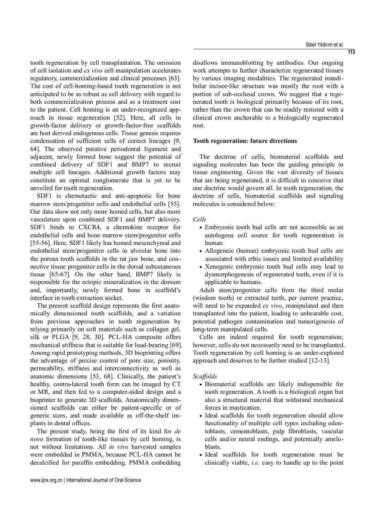tooth regeneration by cell transplantation. The omission of cell isolation and *ex vivo* cell manipulation accelerates regulatory, commercialization and clinical processes [63]. The cost of cell-homing-based tooth regeneration is not anticipated to be as robust as cell delivery with regard to both commercialization process and as a treatment cost to the patient. Cell homing is an under-recognized approach in tissue regeneration [52]. Here, all cells in growth-factor delivery or growth-factor-free scaffolds are host derived endogenous cells. Tissue genesis requires condensation of sufficient cells of correct lineages [9, 64]. The observed putative periodontal ligament and adjacent, newly formed bone suggest the potential of combined delivery of SDF1 and BMP7 to recruit multiple cell lineages. Additional growth factors may constitute an optimal conglomerate that is yet to be unveiled for tooth regeneration.

SDF1 is chemotactic and anti-apoptotic for bone marrow stem/progenitor cells and endothelial cells [55]. Our data show not only more homed cells, but also more vasculature upon combined SDF1 and BMP7 delivery. SDF1 binds to CXCR4, a chemokine receptor for endothelial cells and bone marrow stem/progenitor cells [55-56]. Here, SDF1 likely has homed mesenchymal and endothelial stem/progenitor cells in alveolar bone into the porous tooth scaffolds in the rat jaw bone, and connective tissue progenitor cells in the dorsal subcutaneous tissue [65-67]. On the other hand, BMP7 likely is responsible for the ectopic mineralization in the dorsum and, importantly, newly formed bone in scaffold's interface in tooth extraction socket.

The present scaffold design represents the first anatomically dimensioned tooth scaffolds, and a variation from previous approaches in tooth regeneration by relying primarily on soft materials such as collagen gel, silk or PLGA [9, 28, 30]. PCL-HA composite offers mechanical stiffness that is suitable for load-bearing [69]. Among rapid prototyping methods, 3D bioprinting offers the advantage of precise control of pore size, porosity, permeability, stiffness and interconnectivity as well as anatomic dimensions [53, 68]. Clinically, the patient's healthy, contra-lateral tooth form can be imaged by CT or MR, and then fed to a computer-aided design and a bioprinter to generate 3D scaffolds. Anatomically dimensioned scaffolds can either be patient-specific or of generic sizes, and made available as off-the-shelf implants in dental offices.

The present study, being the first of its kind for *de novo* formation of tooth-like tissues by cell homing, is not without limitations. All *in vivo* harvested samples were embedded in PMMA, because PCL-HA cannot be decalcified for paraffin embedding. PMMA embedding

**113**

disallows immunoblotting by antibodies. Our ongoing work attempts to further characterize regenerated tissues by various imaging modalities. The regenerated mandibular incisor-like structure was mostly the root with a portion of sub-occlusal crown. We suggest that a regenerated tooth is biological primarily because of its root, rather than the crown that can be readily restored with a clinical crown anchorable to a biologically regenerated root.

# **Tooth regeneration: future directions**

The doctrine of cells, biomaterial scaffolds and signaling molecules has been the guiding principle in tissue engineering. Given the vast diversity of tissues that are being regenerated, it is difficult to conceive that one doctrine would govern all. In tooth regeneration, the doctrine of cells, biomaterial scaffolds and signaling molecules is considered below:

#### *Cells*

- Embryonic tooth bud cells are not accessible as an autologous cell source for tooth regeneration in human.
- Allogeneic (human) embryonic tooth bud cells are associated with ethic issues and limited availability
- Xenogenic embryonic tooth bud cells may lead to dysmorphogenesis of regenerated teeth, even if it is applicable to humans.

 Adult stem/progenitor cells from the third molar (wisdom tooth) or extracted teeth, per current practice, will need to be expanded *ex vivo*, manipulated and then transplanted into the patient, leading to unbearable cost, potential pathogen contamination and tumorigenesis of long-term manipulated cells.

 Cells are indeed required for tooth regeneration; however, cells do not necessarily need to be transplanted. Tooth regeneration by cell homing is an under-explored approach and deserves to be further studied [12-13].

### *Scaffolds*

- Biomaterial scaffolds are likely indispensible for tooth regeneration. A tooth is a biological organ but also a structural material that withstand mechanical forces in mastication.
- Ideal scaffolds for tooth regeneration should allow functionality of multiple cell types including odontoblasts, cementoblasts, pulp fibroblasts, vascular cells and/or neural endings, and potentially ameloblasts.
- Ideal scaffolds for tooth regeneration must be clinically viable, *i.e.* easy to handle up to the point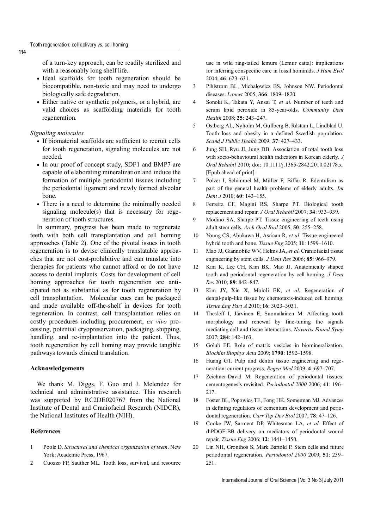of a turn-key approach, can be readily sterilized and with a reasonably long shelf life.

- Ideal scaffolds for tooth regeneration should be biocompatible, non-toxic and may need to undergo biologically safe degradation.
- Either native or synthetic polymers, or a hybrid, are valid choices as scaffolding materials for tooth regeneration.

## *Signaling molecules*

**114**

- If biomaterial scaffolds are sufficient to recruit cells for tooth regeneration, signaling molecules are not needed.
- In our proof of concept study, SDF1 and BMP7 are capable of elaborating mineralization and induce the formation of multiple periodontal tissues including the periodontal ligament and newly formed alveolar bone.
- There is a need to determine the minimally needed signaling molecule(s) that is necessary for regeneration of tooth structures.

In summary, progress has been made to regenerate teeth with both cell transplantation and cell homing approaches (Table 2). One of the pivotal issues in tooth regeneration is to devise clinically translatable approaches that are not cost-prohibitive and can translate into therapies for patients who cannot afford or do not have access to dental implants. Costs for development of cell homing approaches for tooth regeneration are anticipated not as substantial as for tooth regeneration by cell transplantation. Molecular cues can be packaged and made available off-the-shelf in devices for tooth regeneration. In contrast, cell transplantation relies on costly procedures including procurement, *ex vivo* processing, potential cryopreservation, packaging, shipping, handling, and re-implantation into the patient. Thus, tooth regeneration by cell homing may provide tangible pathways towards clinical translation.

## **Acknowledgements**

We thank M. Diggs, F. Guo and J. Melendez for technical and administrative assistance. This research was supported by RC2DE020767 from the National Institute of Dental and Craniofacial Research (NIDCR), the National Institutes of Health (NIH).

## **References**

- 1 Poole D. *Structural and chemical organization of teeth*. New York: Academic Press, 1967.
- 2 Cuozzo FP, Sauther ML. Tooth loss, survival, and resource

use in wild ring-tailed lemurs (Lemur catta): implications for inferring conspecific care in fossil hominids. *J Hum Evol* 2004; **46**: 623–631.

- 3 Pihlstrom BL, Michalowicz BS, Johnson NW. Periodontal diseases. *Lancet* 2005; **366**: 1809–1820.
- 4 Sonoki K, Takata Y, Ansai T, *et al*. Number of teeth and serum lipid peroxide in 85-year-olds. *Community Dent Health* 2008; **25**: 243–247.
- 5 Ostberg AL, Nyholm M, Gullberg B, Råstam L, Lindblad U. Tooth loss and obesity in a defined Swedish population. *Scand J Public Health* 2009; **37**: 427–433.
- 6 Jung SH, Ryu JI, Jung DB. Association of total tooth loss with socio-behavioural health indicators in Korean elderly. *J Oral Rehabil* 2010; doi: 10.1111/j.1365-2842.2010.02178.x. [Epub ahead of print].
- 7 Polzer I, Schimmel M, Müller F, Biffar R. Edentulism as part of the general health problems of elderly adults. *Int Dent J* 2010; **60**: 143–155.
- 8 Ferreira CF, Magini RS, Sharpe PT. Biological tooth replacement and repair. *J Oral Rehabil* 2007; **34**: 933–939.
- 9 Modino SA, Sharpe PT. Tissue engineering of teeth using adult stem cells. *Arch Oral Biol* 2005; **50**: 255–258.
- 10 Young CS, Abukawa H, Asrican R, *et al*. Tissue-engineered hybrid tooth and bone. *Tissue Eng* 2005; **11**: 1599–1610.
- 11 Mao JJ, Giannobile WV, Helms JA, *et al*. Craniofacial tissue engineering by stem cells. *J Dent Res* 2006; **85**: 966–979.
- 12 Kim K, Lee CH, Kim BK, Mao JJ. Anatomically shaped tooth and periodontal regeneration by cell homing. *J Dent Res* 2010; **89**: 842–847.
- 13 Kim JY, Xin X, Moioli EK, *et al*. Regeneration of dental-pulp-like tissue by chemotaxis-induced cell homing. *Tissue Eng Part A* 2010; **16**: 3023–3031.
- 14 Thesleff I, Järvinen E, Suomalainen M. Affecting tooth morphology and renewal by fine-tuning the signals mediating cell and tissue interactions. *Novartis Found Symp* 2007; **284**: 142–163.
- 15 Golub EE. Role of matrix vesicles in biomineralization. *Biochim Biophys Acta* 2009; **1790**: 1592–1598.
- 16 Huang GT. Pulp and dentin tissue engineering and regeneration: current progress. *Regen Med* 2009; **4**: 697–707.
- 17 Zeichner-David M. Regeneration of periodontal tissues: cementogenesis revisited. *Periodontol 2000* 2006; **41**: 196– 217.
- 18 Foster BL, Popowics TE, Fong HK, Somerman MJ. Advances in defining regulators of cementum development and periodontal regeneration. *Curr Top Dev Biol* 2007; **78**: 47–126.
- 19 Cooke JW, Sarment DP, Whitesman LA, *et al*. Effect of rhPDGF-BB delivery on mediators of periodontal wound repair. *Tissue Eng* 2006; **12**: 1441–1450.
- 20 Lin NH, Gronthos S, Mark Bartold P. Stem cells and future periodontal regeneration. *Periodontol 2000* 2009; **51**: 239– 251.

International Journal of Oral Science | Vol 3 No 3| July 2011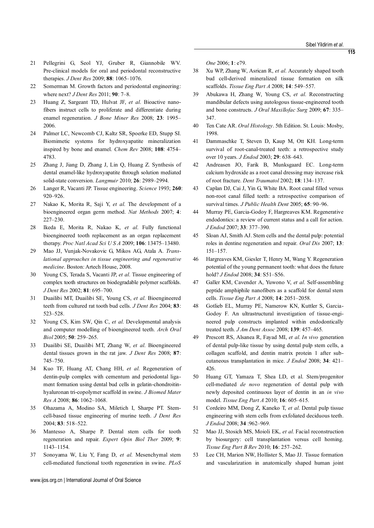- 21 Pellegrini G, Seol YJ, Gruber R, Giannobile WV. Pre-clinical models for oral and periodontal reconstructive therapies. *J Dent Res* 2009; **88**: 1065–1076.
- 22 Somerman M. Growth factors and periodontal engineering: where next? *J Dent Res* 2011; **90**: 7–8.
- 23 Huang Z, Sargeant TD, Hulvat JF, *et al*. Bioactive nanofibers instruct cells to proliferate and differentiate during enamel regeneration. *J Bone Miner Res* 2008; **23**: 1995– 2006.
- 24 Palmer LC, Newcomb CJ, Kaltz SR, Spoerke ED, Stupp SI. Biomimetic systems for hydroxyapatite mineralization inspired by bone and enamel. *Chem Rev* 2008; **108**: 4754– 4783.
- 25 Zhang J, Jiang D, Zhang J, Lin Q, Huang Z. Synthesis of dental enamel-like hydroxyapatite through solution mediated solid-state conversion. *Langmuir* 2010; **26**: 2989–2994.
- 26 Langer R, Vacanti JP. Tissue engineering. *Science* 1993; **260**: 920–926.
- 27 Nakao K, Morita R, Saji Y, *et al*. The development of a bioengineered organ germ method. *Nat Methods* 2007; **4**: 227–230.
- 28 Ikeda E, Morita R, Nakao K, *et al*. Fully functional bioengineered tooth replacement as an organ replacement therapy. *Proc Natl Acad Sci U S A* 2009; **106**: 13475–13480.
- 29 Mao JJ, Vunjak-Novakovic G, Mikos AG, Atala A. *Translational approaches in tissue engineering and regenerative medicine*. Boston: Artech House, 2008.
- 30 Young CS, Terada S, Vacanti JP, *et al*. Tissue engineering of complex tooth structures on biodegradable polymer scaffolds. *J Dent Res* 2002; **81**: 695–700.
- 31 Duailibi MT, Duailibi SE, Young CS, *et al*. Bioengineered teeth from cultured rat tooth bud cells. *J Dent Res* 2004; **83**: 523–528.
- 32 Young CS, Kim SW, Qin C, *et al*. Developmental analysis and computer modelling of bioengineered teeth. *Arch Oral Biol* 2005; **50**: 259–265.
- 33 Duailibi SE, Duailibi MT, Zhang W, *et al*. Bioengineered dental tissues grown in the rat jaw. *J Dent Res* 2008; **87**: 745–750.
- 34 Kuo TF, Huang AT, Chang HH, *et al*. Regeneration of dentin-pulp complex with cementum and periodontal ligament formation using dental bud cells in gelatin-chondroitinhyaluronan tri-copolymer scaffold in swine. *J Biomed Mater Res A* 2008; **86**: 1062–1068.
- 35 Ohazama A, Modino SA, Miletich I, Sharpe PT. Stemcell-based tissue engineering of murine teeth. *J Dent Res* 2004; **83**: 518–522.
- 36 Mantesso A, Sharpe P. Dental stem cells for tooth regeneration and repair. *Expert Opin Biol Ther* 2009; **9**: 1143–1154.
- 37 Sonoyama W, Liu Y, Fang D, *et al*. Mesenchymal stem cell-mediated functional tooth regeneration in swine. *PLoS*

www.ijos.org.cn | International Journal of Oral Science

*One* 2006; **1**: e79.

- 38 Xu WP, Zhang W, Asrican R, *et al*. Accurately shaped tooth bud cell-derived mineralized tissue formation on silk scaffolds. *Tissue Eng Part A* 2008; **14**: 549–557.
- 39 Abukawa H, Zhang W, Young CS, *et al*. Reconstructing mandibular defects using autologous tissue-engineered tooth and bone constructs. *J Oral Maxillofac Surg* 2009; **67**: 335– 347.
- 40 Ten Cate AR. *Oral Histology*. 5th Edition. St. Louis: Mosby, 1998.
- 41 Dammaschke T, Steven D, Kaup M, Ott KH. Long-term survival of root-canal-treated teeth: a retrospective study over 10 years. *J Endod* 2003; **29**: 638–643.
- 42 Andreasen JO, Farik B, Munksgaard EC. Long-term calcium hydroxide as a root canal dressing may increase risk of root fracture. *Dent Traumatol* 2002; **18**: 134–137.
- 43 Caplan DJ, Cai J, Yin G, White BA. Root canal filled versus non-root canal filled teeth: a retrospective comparison of survival times. *J Public Health Dent* 2005; **65**: 90–96.
- 44 Murray PE, Garcia-Godoy F, Hargreaves KM. Regenerative endodontics: a review of current status and a call for action. *J Endod* 2007; **33**: 377–390.
- 45 Sloan AJ, Smith AJ. Stem cells and the dental pulp: potential roles in dentine regeneration and repair. *Oral Dis* 2007; **13**: 151–157.
- 46 Hargreaves KM, Giesler T, Henry M, Wang Y. Regeneration potential of the young permanent tooth: what does the future hold? *J Endod* 2008; **34**: S51–S56.
- 47 Galler KM, Cavender A, Yuwono V, *et al*. Self-assembling peptide amphiphile nanofibers as a scaffold for dental stem cells. *Tissue Eng Part A* 2008; **14**: 2051–2058.
- 48 Gotlieb EL, Murray PE, Namerow KN, Kuttler S, Garcia-Godoy F. An ultrastructural investigation of tissue-engineered pulp constructs implanted within endodontically treated teeth. *J Am Dent Assoc* 2008; **139**: 457–465.
- 49 Prescott RS, Alsanea R, Fayad MI, *et al*. *In vivo* generation of dental pulp-like tissue by using dental pulp stem cells, a collagen scaffold, and dentin matrix protein 1 after subcutaneous transplantation in mice. *J Endod* 2008; **34**: 421– 426.
- 50 Huang GT, Yamaza T, Shea LD, et al. Stem/progenitor cell-mediated *de novo* regeneration of dental pulp with newly deposited continuous layer of dentin in an *in vivo* model. *Tissue Eng Part A* 2010; **16**: 605–615.
- 51 Cordeiro MM, Dong Z, Kaneko T, *et al*. Dental pulp tissue engineering with stem cells from exfoliated deciduous teeth. *J Endod* 2008; **34** :962–969.
- 52 Mao JJ, Stosich MS, Moioli EK, *et al*. Facial reconstruction by biosurgery: cell transplantation versus cell homing. *Tissue Eng Part B Rev* 2010; **16**: 257–262.
- 53 Lee CH, Marion NW, Hollister S, Mao JJ. Tissue formation and vascularization in anatomically shaped human joint